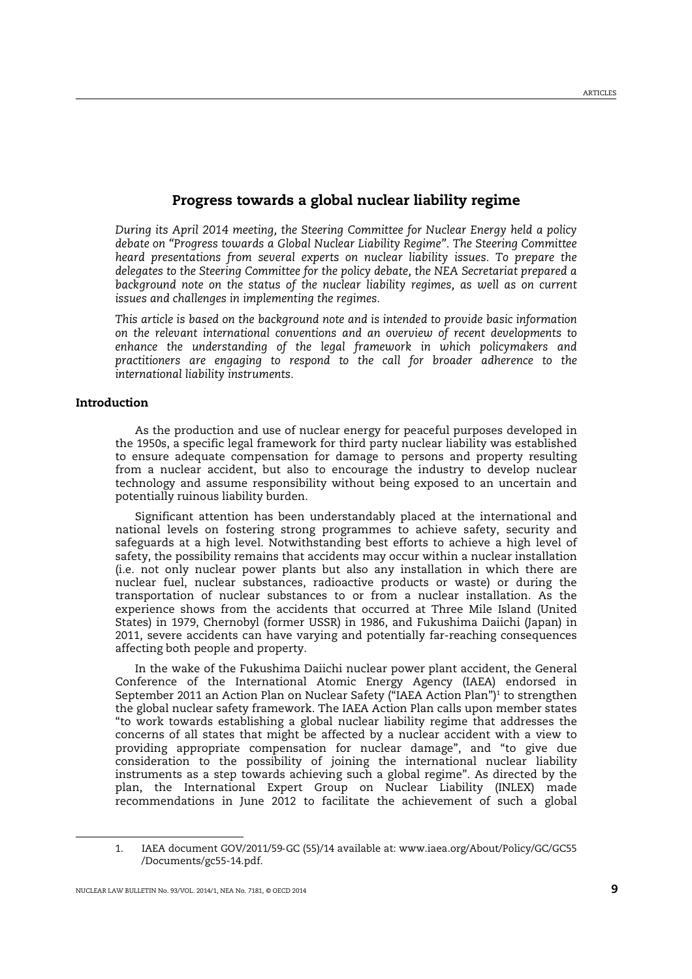## Progress towards a global nuclear liability regime

*During its April 2014 meeting, the Steering Committee for Nuclear Energy held a policy debate on "Progress towards a Global Nuclear Liability Regime". The Steering Committee heard presentations from several experts on nuclear liability issues. To prepare the delegates to the Steering Committee for the policy debate, the NEA Secretariat prepared a*  background note on the status of the nuclear liability regimes, as well as on current *issues and challenges in implementing the regimes.* 

*This article is based on the background note and is intended to provide basic information on the relevant international conventions and an overview of recent developments to enhance the understanding of the legal framework in which policymakers and practitioners are engaging to respond to the call for broader adherence to the international liability instruments.* 

### Introduction

 $\overline{a}$ 

As the production and use of nuclear energy for peaceful purposes developed in the 1950s, a specific legal framework for third party nuclear liability was established to ensure adequate compensation for damage to persons and property resulting from a nuclear accident, but also to encourage the industry to develop nuclear technology and assume responsibility without being exposed to an uncertain and potentially ruinous liability burden.

Significant attention has been understandably placed at the international and national levels on fostering strong programmes to achieve safety, security and safeguards at a high level. Notwithstanding best efforts to achieve a high level of safety, the possibility remains that accidents may occur within a nuclear installation (i.e. not only nuclear power plants but also any installation in which there are nuclear fuel, nuclear substances, radioactive products or waste) or during the transportation of nuclear substances to or from a nuclear installation. As the experience shows from the accidents that occurred at Three Mile Island (United States) in 1979, Chernobyl (former USSR) in 1986, and Fukushima Daiichi (Japan) in 2011, severe accidents can have varying and potentially far-reaching consequences affecting both people and property.

In the wake of the Fukushima Daiichi nuclear power plant accident, the General Conference of the International Atomic Energy Agency (IAEA) endorsed in September 2011 an Action Plan on Nuclear Safety ("IAEA Action Plan")<sup>1</sup> to strengthen the global nuclear safety framework. The IAEA Action Plan calls upon member states "to work towards establishing a global nuclear liability regime that addresses the concerns of all states that might be affected by a nuclear accident with a view to providing appropriate compensation for nuclear damage", and "to give due consideration to the possibility of joining the international nuclear liability instruments as a step towards achieving such a global regime". As directed by the plan, the International Expert Group on Nuclear Liability (INLEX) made recommendations in June 2012 to facilitate the achievement of such a global

<sup>1.</sup> IAEA document GOV/2011/59‐GC (55)/14 available at: www.iaea.org/About/Policy/GC/GC55 /Documents/gc55-14.pdf.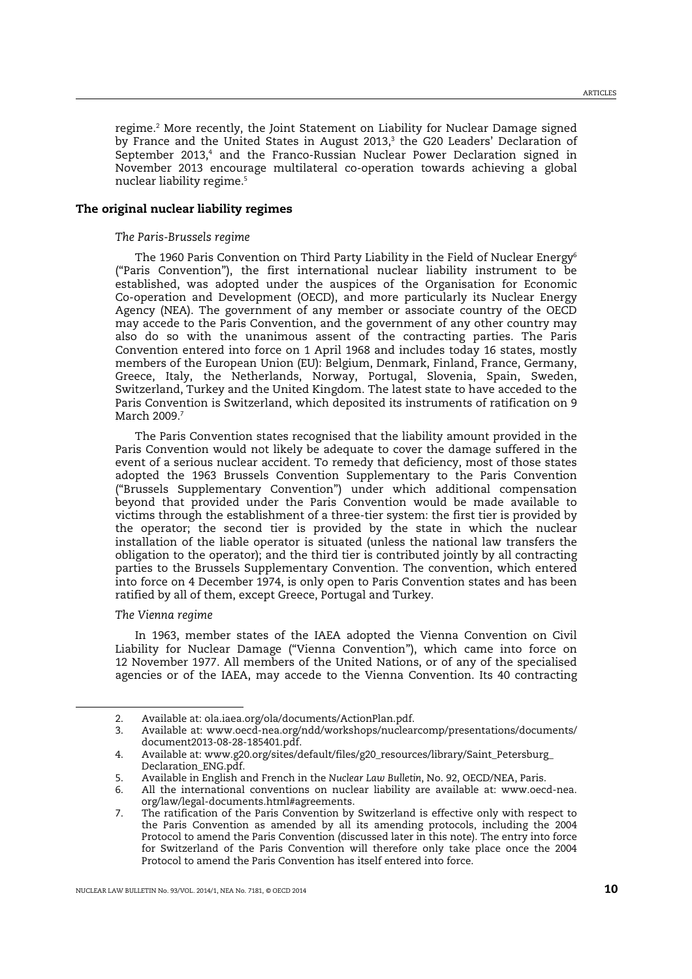regime.<sup>2</sup> More recently, the Joint Statement on Liability for Nuclear Damage signed by France and the United States in August 2013,<sup>3</sup> the G20 Leaders' Declaration of September 2013,<sup>4</sup> and the Franco-Russian Nuclear Power Declaration signed in November 2013 encourage multilateral co-operation towards achieving a global nuclear liability regime.<sup>5</sup>

#### The original nuclear liability regimes

## *The Paris-Brussels regime*

The 1960 Paris Convention on Third Party Liability in the Field of Nuclear Energy<sup>6</sup> ("Paris Convention"), the first international nuclear liability instrument to be established, was adopted under the auspices of the Organisation for Economic Co-operation and Development (OECD), and more particularly its Nuclear Energy Agency (NEA). The government of any member or associate country of the OECD may accede to the Paris Convention, and the government of any other country may also do so with the unanimous assent of the contracting parties. The Paris Convention entered into force on 1 April 1968 and includes today 16 states, mostly members of the European Union (EU): Belgium, Denmark, Finland, France, Germany, Greece, Italy, the Netherlands, Norway, Portugal, Slovenia, Spain, Sweden, Switzerland, Turkey and the United Kingdom. The latest state to have acceded to the Paris Convention is Switzerland, which deposited its instruments of ratification on 9 March 2009.<sup>7</sup>

The Paris Convention states recognised that the liability amount provided in the Paris Convention would not likely be adequate to cover the damage suffered in the event of a serious nuclear accident. To remedy that deficiency, most of those states adopted the 1963 Brussels Convention Supplementary to the Paris Convention ("Brussels Supplementary Convention") under which additional compensation beyond that provided under the Paris Convention would be made available to victims through the establishment of a three-tier system: the first tier is provided by the operator; the second tier is provided by the state in which the nuclear installation of the liable operator is situated (unless the national law transfers the obligation to the operator); and the third tier is contributed jointly by all contracting parties to the Brussels Supplementary Convention. The convention, which entered into force on 4 December 1974, is only open to Paris Convention states and has been ratified by all of them, except Greece, Portugal and Turkey.

#### *The Vienna regime*

 $\overline{a}$ 

In 1963, member states of the IAEA adopted the Vienna Convention on Civil Liability for Nuclear Damage ("Vienna Convention"), which came into force on 12 November 1977. All members of the United Nations, or of any of the specialised agencies or of the IAEA, may accede to the Vienna Convention. Its 40 contracting

<sup>2.</sup> Available at: ola.iaea.org/ola/documents/ActionPlan.pdf.

<sup>3.</sup> Available at: www.oecd-nea.org/ndd/workshops/nuclearcomp/presentations/documents/ document2013-08-28-185401.pdf.

<sup>4.</sup> Available at: www.g20.org/sites/default/files/g20\_resources/library/Saint\_Petersburg\_ Declaration\_ENG.pdf.

<sup>5.</sup> Available in English and French in the *Nuclear Law Bulletin*, No. 92, OECD/NEA, Paris.

<sup>6.</sup> All the international conventions on nuclear liability are available at: www.oecd-nea. org/law/legal-documents.html#agreements.

<sup>7.</sup> The ratification of the Paris Convention by Switzerland is effective only with respect to the Paris Convention as amended by all its amending protocols, including the 2004 Protocol to amend the Paris Convention (discussed later in this note). The entry into force for Switzerland of the Paris Convention will therefore only take place once the 2004 Protocol to amend the Paris Convention has itself entered into force.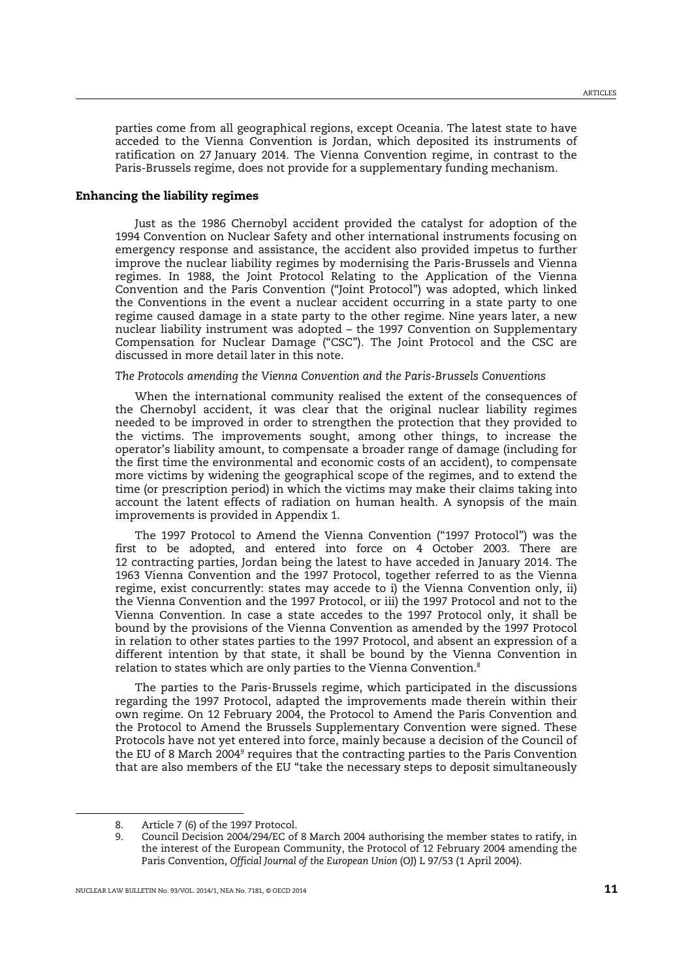parties come from all geographical regions, except Oceania. The latest state to have acceded to the Vienna Convention is Jordan, which deposited its instruments of ratification on 27 January 2014. The Vienna Convention regime, in contrast to the Paris-Brussels regime, does not provide for a supplementary funding mechanism.

## Enhancing the liability regimes

Just as the 1986 Chernobyl accident provided the catalyst for adoption of the 1994 Convention on Nuclear Safety and other international instruments focusing on emergency response and assistance, the accident also provided impetus to further improve the nuclear liability regimes by modernising the Paris-Brussels and Vienna regimes. In 1988, the Joint Protocol Relating to the Application of the Vienna Convention and the Paris Convention ("Joint Protocol") was adopted, which linked the Conventions in the event a nuclear accident occurring in a state party to one regime caused damage in a state party to the other regime. Nine years later, a new nuclear liability instrument was adopted – the 1997 Convention on Supplementary Compensation for Nuclear Damage ("CSC"). The Joint Protocol and the CSC are discussed in more detail later in this note.

#### *The Protocols amending the Vienna Convention and the Paris-Brussels Conventions*

When the international community realised the extent of the consequences of the Chernobyl accident, it was clear that the original nuclear liability regimes needed to be improved in order to strengthen the protection that they provided to the victims. The improvements sought, among other things, to increase the operator's liability amount, to compensate a broader range of damage (including for the first time the environmental and economic costs of an accident), to compensate more victims by widening the geographical scope of the regimes, and to extend the time (or prescription period) in which the victims may make their claims taking into account the latent effects of radiation on human health. A synopsis of the main improvements is provided in Appendix 1.

The 1997 Protocol to Amend the Vienna Convention ("1997 Protocol") was the first to be adopted, and entered into force on 4 October 2003. There are 12 contracting parties, Jordan being the latest to have acceded in January 2014. The 1963 Vienna Convention and the 1997 Protocol, together referred to as the Vienna regime, exist concurrently: states may accede to i) the Vienna Convention only, ii) the Vienna Convention and the 1997 Protocol, or iii) the 1997 Protocol and not to the Vienna Convention. In case a state accedes to the 1997 Protocol only, it shall be bound by the provisions of the Vienna Convention as amended by the 1997 Protocol in relation to other states parties to the 1997 Protocol, and absent an expression of a different intention by that state, it shall be bound by the Vienna Convention in relation to states which are only parties to the Vienna Convention.<sup>8</sup>

The parties to the Paris-Brussels regime, which participated in the discussions regarding the 1997 Protocol, adapted the improvements made therein within their own regime. On 12 February 2004, the Protocol to Amend the Paris Convention and the Protocol to Amend the Brussels Supplementary Convention were signed. These Protocols have not yet entered into force, mainly because a decision of the Council of the EU of 8 March 2004<sup>9</sup> requires that the contracting parties to the Paris Convention that are also members of the EU "take the necessary steps to deposit simultaneously

<sup>8.</sup> Article 7 (6) of the 1997 Protocol.

<sup>9.</sup> Council Decision 2004/294/EC of 8 March 2004 authorising the member states to ratify, in the interest of the European Community, the Protocol of 12 February 2004 amending the Paris Convention, *Official Journal of the European Union* (OJ) L 97/53 (1 April 2004).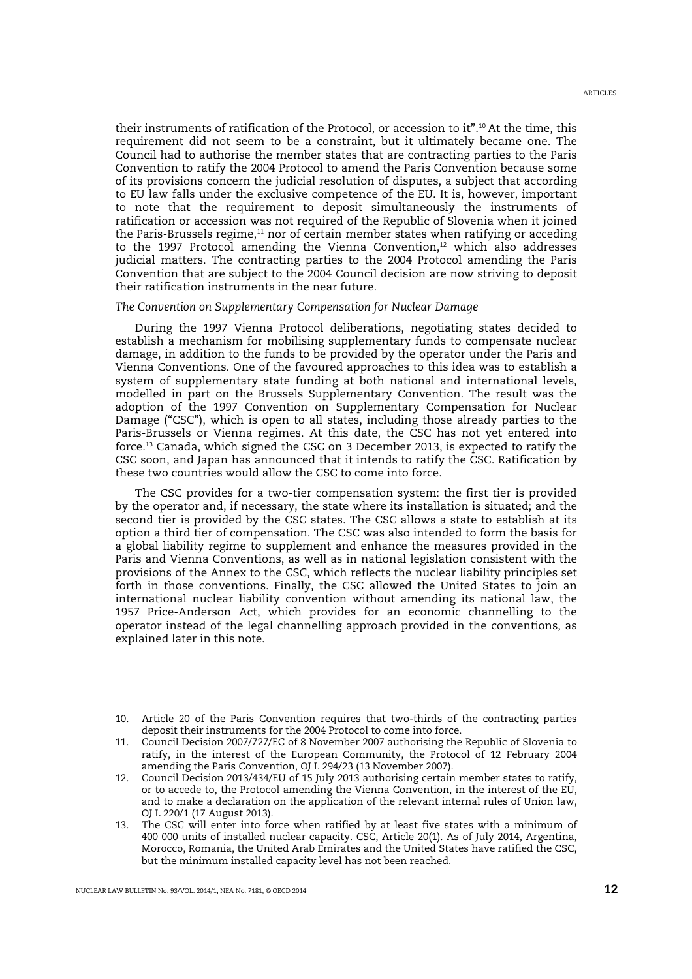their instruments of ratification of the Protocol, or accession to it".<sup>10</sup> At the time, this requirement did not seem to be a constraint, but it ultimately became one. The Council had to authorise the member states that are contracting parties to the Paris Convention to ratify the 2004 Protocol to amend the Paris Convention because some of its provisions concern the judicial resolution of disputes, a subject that according to EU law falls under the exclusive competence of the EU. It is, however, important to note that the requirement to deposit simultaneously the instruments of ratification or accession was not required of the Republic of Slovenia when it joined the Paris-Brussels regime,<sup>11</sup> nor of certain member states when ratifying or acceding to the 1997 Protocol amending the Vienna Convention, $12$  which also addresses judicial matters. The contracting parties to the 2004 Protocol amending the Paris Convention that are subject to the 2004 Council decision are now striving to deposit their ratification instruments in the near future.

#### *The Convention on Supplementary Compensation for Nuclear Damage*

During the 1997 Vienna Protocol deliberations, negotiating states decided to establish a mechanism for mobilising supplementary funds to compensate nuclear damage, in addition to the funds to be provided by the operator under the Paris and Vienna Conventions. One of the favoured approaches to this idea was to establish a system of supplementary state funding at both national and international levels, modelled in part on the Brussels Supplementary Convention. The result was the adoption of the 1997 Convention on Supplementary Compensation for Nuclear Damage ("CSC"), which is open to all states, including those already parties to the Paris-Brussels or Vienna regimes. At this date, the CSC has not yet entered into force.<sup>13</sup> Canada, which signed the CSC on 3 December 2013, is expected to ratify the CSC soon, and Japan has announced that it intends to ratify the CSC. Ratification by these two countries would allow the CSC to come into force.

The CSC provides for a two-tier compensation system: the first tier is provided by the operator and, if necessary, the state where its installation is situated; and the second tier is provided by the CSC states. The CSC allows a state to establish at its option a third tier of compensation. The CSC was also intended to form the basis for a global liability regime to supplement and enhance the measures provided in the Paris and Vienna Conventions, as well as in national legislation consistent with the provisions of the Annex to the CSC, which reflects the nuclear liability principles set forth in those conventions. Finally, the CSC allowed the United States to join an international nuclear liability convention without amending its national law, the 1957 Price-Anderson Act, which provides for an economic channelling to the operator instead of the legal channelling approach provided in the conventions, as explained later in this note.

<sup>10.</sup> Article 20 of the Paris Convention requires that two-thirds of the contracting parties deposit their instruments for the 2004 Protocol to come into force.

<sup>11.</sup> Council Decision 2007/727/EC of 8 November 2007 authorising the Republic of Slovenia to ratify, in the interest of the European Community, the Protocol of 12 February 2004 amending the Paris Convention, OJ L 294/23 (13 November 2007).

<sup>12.</sup> Council Decision 2013/434/EU of 15 July 2013 authorising certain member states to ratify, or to accede to, the Protocol amending the Vienna Convention, in the interest of the EU, and to make a declaration on the application of the relevant internal rules of Union law, OJ L 220/1 (17 August 2013).

<sup>13.</sup> The CSC will enter into force when ratified by at least five states with a minimum of 400 000 units of installed nuclear capacity. CSC, Article 20(1). As of July 2014, Argentina, Morocco, Romania, the United Arab Emirates and the United States have ratified the CSC, but the minimum installed capacity level has not been reached.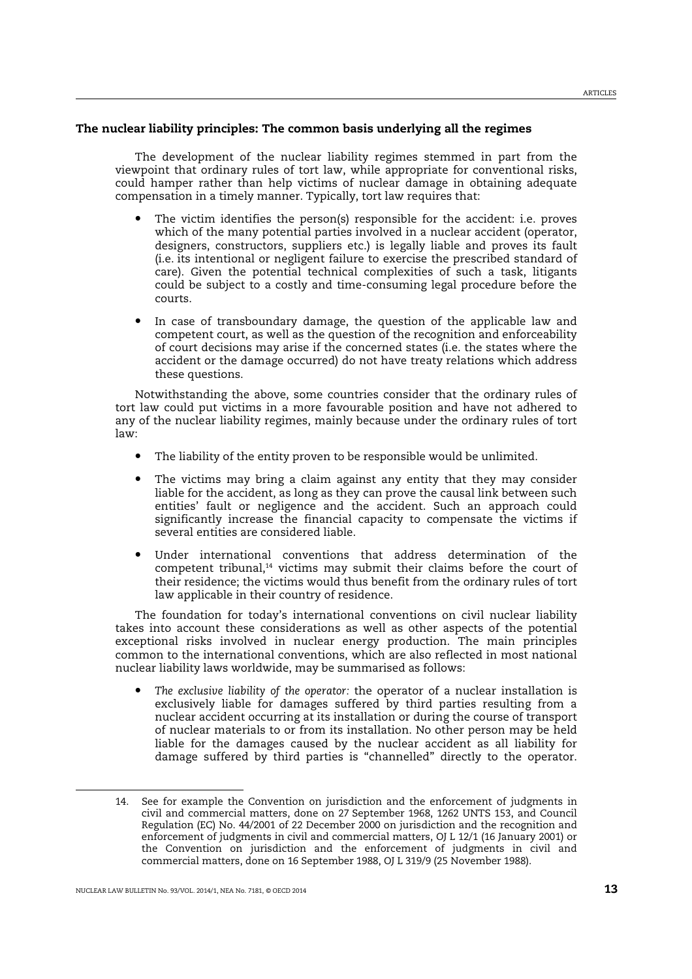## The nuclear liability principles: The common basis underlying all the regimes

The development of the nuclear liability regimes stemmed in part from the viewpoint that ordinary rules of tort law, while appropriate for conventional risks, could hamper rather than help victims of nuclear damage in obtaining adequate compensation in a timely manner. Typically, tort law requires that:

- The victim identifies the person(s) responsible for the accident: i.e. proves which of the many potential parties involved in a nuclear accident (operator, designers, constructors, suppliers etc.) is legally liable and proves its fault (i.e. its intentional or negligent failure to exercise the prescribed standard of care). Given the potential technical complexities of such a task, litigants could be subject to a costly and time-consuming legal procedure before the courts.
- In case of transboundary damage, the question of the applicable law and competent court, as well as the question of the recognition and enforceability of court decisions may arise if the concerned states (i.e. the states where the accident or the damage occurred) do not have treaty relations which address these questions.

Notwithstanding the above, some countries consider that the ordinary rules of tort law could put victims in a more favourable position and have not adhered to any of the nuclear liability regimes, mainly because under the ordinary rules of tort law:

- The liability of the entity proven to be responsible would be unlimited.
- The victims may bring a claim against any entity that they may consider liable for the accident, as long as they can prove the causal link between such entities' fault or negligence and the accident. Such an approach could significantly increase the financial capacity to compensate the victims if several entities are considered liable.
- Under international conventions that address determination of the competent tribunal, $14$  victims may submit their claims before the court of their residence; the victims would thus benefit from the ordinary rules of tort law applicable in their country of residence.

The foundation for today's international conventions on civil nuclear liability takes into account these considerations as well as other aspects of the potential exceptional risks involved in nuclear energy production. The main principles common to the international conventions, which are also reflected in most national nuclear liability laws worldwide, may be summarised as follows:

• *The exclusive liability of the operator:* the operator of a nuclear installation is exclusively liable for damages suffered by third parties resulting from a nuclear accident occurring at its installation or during the course of transport of nuclear materials to or from its installation. No other person may be held liable for the damages caused by the nuclear accident as all liability for damage suffered by third parties is "channelled" directly to the operator.

<sup>14.</sup> See for example the Convention on jurisdiction and the enforcement of judgments in civil and commercial matters, done on 27 September 1968, 1262 UNTS 153, and Council Regulation (EC) No. 44/2001 of 22 December 2000 on jurisdiction and the recognition and enforcement of judgments in civil and commercial matters, OJ L 12/1 (16 January 2001) or the Convention on jurisdiction and the enforcement of judgments in civil and commercial matters, done on 16 September 1988, OJ L 319/9 (25 November 1988).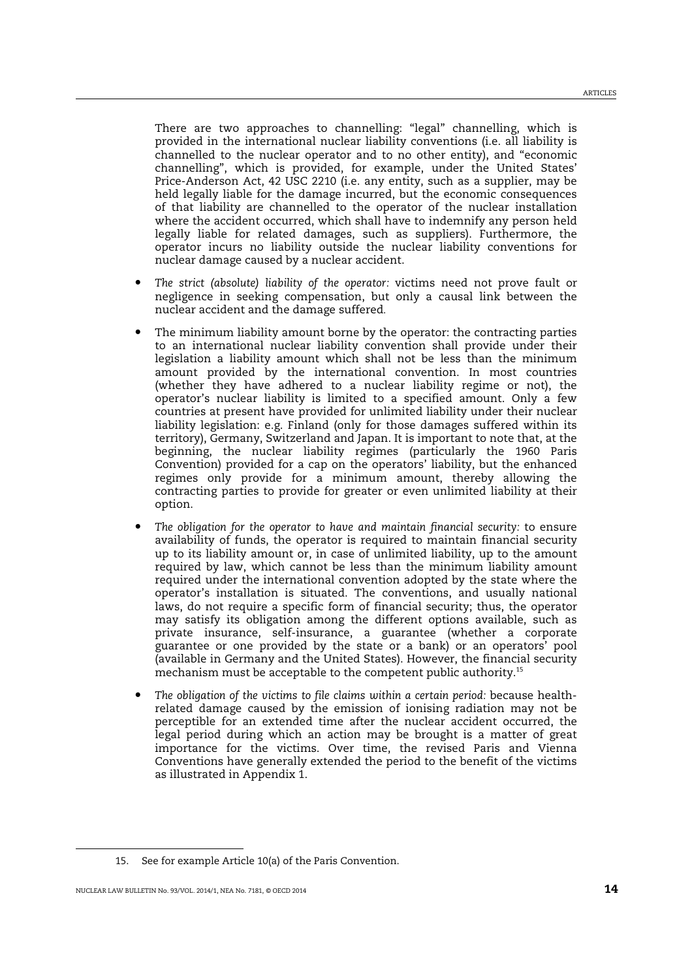There are two approaches to channelling: "legal" channelling, which is provided in the international nuclear liability conventions (i.e. all liability is channelled to the nuclear operator and to no other entity), and "economic channelling", which is provided, for example, under the United States' Price-Anderson Act, 42 USC 2210 (i.e. any entity, such as a supplier, may be held legally liable for the damage incurred, but the economic consequences of that liability are channelled to the operator of the nuclear installation where the accident occurred, which shall have to indemnify any person held legally liable for related damages, such as suppliers). Furthermore, the operator incurs no liability outside the nuclear liability conventions for nuclear damage caused by a nuclear accident.

- *The strict (absolute) liability of the operator:* victims need not prove fault or negligence in seeking compensation, but only a causal link between the nuclear accident and the damage suffered.
- The minimum liability amount borne by the operator: the contracting parties to an international nuclear liability convention shall provide under their legislation a liability amount which shall not be less than the minimum amount provided by the international convention. In most countries (whether they have adhered to a nuclear liability regime or not), the operator's nuclear liability is limited to a specified amount. Only a few countries at present have provided for unlimited liability under their nuclear liability legislation: e.g. Finland (only for those damages suffered within its territory), Germany, Switzerland and Japan. It is important to note that, at the beginning, the nuclear liability regimes (particularly the 1960 Paris Convention) provided for a cap on the operators' liability, but the enhanced regimes only provide for a minimum amount, thereby allowing the contracting parties to provide for greater or even unlimited liability at their option.
- *The obligation for the operator to have and maintain financial security:* to ensure availability of funds, the operator is required to maintain financial security up to its liability amount or, in case of unlimited liability, up to the amount required by law, which cannot be less than the minimum liability amount required under the international convention adopted by the state where the operator's installation is situated. The conventions, and usually national laws, do not require a specific form of financial security; thus, the operator may satisfy its obligation among the different options available, such as private insurance, self-insurance, a guarantee (whether a corporate guarantee or one provided by the state or a bank) or an operators' pool (available in Germany and the United States). However, the financial security mechanism must be acceptable to the competent public authority.<sup>15</sup>
- The obligation of the victims to file claims within a certain period: because healthrelated damage caused by the emission of ionising radiation may not be perceptible for an extended time after the nuclear accident occurred, the legal period during which an action may be brought is a matter of great importance for the victims. Over time, the revised Paris and Vienna Conventions have generally extended the period to the benefit of the victims as illustrated in Appendix 1.

<sup>15.</sup> See for example Article 10(a) of the Paris Convention.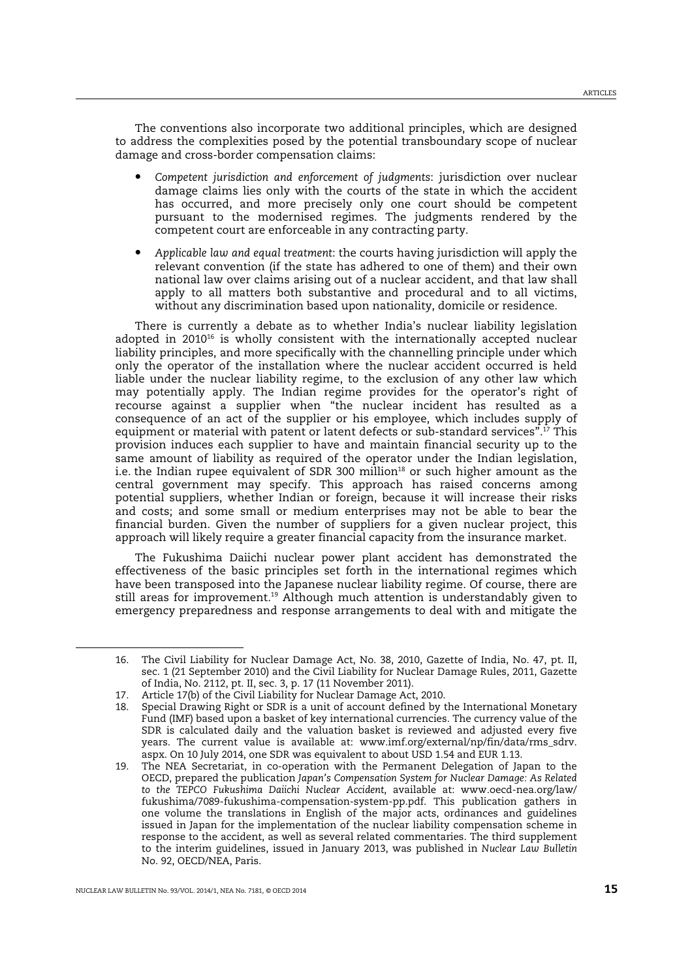The conventions also incorporate two additional principles, which are designed to address the complexities posed by the potential transboundary scope of nuclear damage and cross-border compensation claims:

- *Competent jurisdiction and enforcement of judgments*: jurisdiction over nuclear damage claims lies only with the courts of the state in which the accident has occurred, and more precisely only one court should be competent pursuant to the modernised regimes. The judgments rendered by the competent court are enforceable in any contracting party.
- *Applicable law and equal treatment*: the courts having jurisdiction will apply the relevant convention (if the state has adhered to one of them) and their own national law over claims arising out of a nuclear accident, and that law shall apply to all matters both substantive and procedural and to all victims, without any discrimination based upon nationality, domicile or residence.

There is currently a debate as to whether India's nuclear liability legislation adopted in  $2010^{16}$  is wholly consistent with the internationally accepted nuclear liability principles, and more specifically with the channelling principle under which only the operator of the installation where the nuclear accident occurred is held liable under the nuclear liability regime, to the exclusion of any other law which may potentially apply. The Indian regime provides for the operator's right of recourse against a supplier when "the nuclear incident has resulted as a consequence of an act of the supplier or his employee, which includes supply of equipment or material with patent or latent defects or sub-standard services".<sup>17</sup> This provision induces each supplier to have and maintain financial security up to the same amount of liability as required of the operator under the Indian legislation, i.e. the Indian rupee equivalent of SDR 300 million<sup>18</sup> or such higher amount as the central government may specify. This approach has raised concerns among potential suppliers, whether Indian or foreign, because it will increase their risks and costs; and some small or medium enterprises may not be able to bear the financial burden. Given the number of suppliers for a given nuclear project, this approach will likely require a greater financial capacity from the insurance market.

The Fukushima Daiichi nuclear power plant accident has demonstrated the effectiveness of the basic principles set forth in the international regimes which have been transposed into the Japanese nuclear liability regime. Of course, there are still areas for improvement.<sup>19</sup> Although much attention is understandably given to emergency preparedness and response arrangements to deal with and mitigate the

<sup>16.</sup> The Civil Liability for Nuclear Damage Act, No. 38, 2010, Gazette of India, No. 47, pt. II, sec. 1 (21 September 2010) and the Civil Liability for Nuclear Damage Rules, 2011, Gazette of India, No. 2112, pt. II, sec. 3, p. 17 (11 November 2011).

<sup>17.</sup> Article 17(b) of the Civil Liability for Nuclear Damage Act, 2010.

<sup>18.</sup> Special Drawing Right or SDR is a unit of account defined by the International Monetary Fund (IMF) based upon a basket of key international currencies. The currency value of the SDR is calculated daily and the valuation basket is reviewed and adjusted every five years. The current value is available at: www.imf.org/external/np/fin/data/rms\_sdrv. aspx. On 10 July 2014, one SDR was equivalent to about USD 1.54 and EUR 1.13.

<sup>19.</sup> The NEA Secretariat, in co-operation with the Permanent Delegation of Japan to the OECD, prepared the publication *Japan's Compensation System for Nuclear Damage: As Related to the TEPCO Fukushima Daiichi Nuclear Accident*, available at: www.oecd-nea.org/law/ fukushima/7089-fukushima-compensation-system-pp.pdf. This publication gathers in one volume the translations in English of the major acts, ordinances and guidelines issued in Japan for the implementation of the nuclear liability compensation scheme in response to the accident, as well as several related commentaries. The third supplement to the interim guidelines, issued in January 2013, was published in *Nuclear Law Bulletin* No. 92, OECD/NEA, Paris.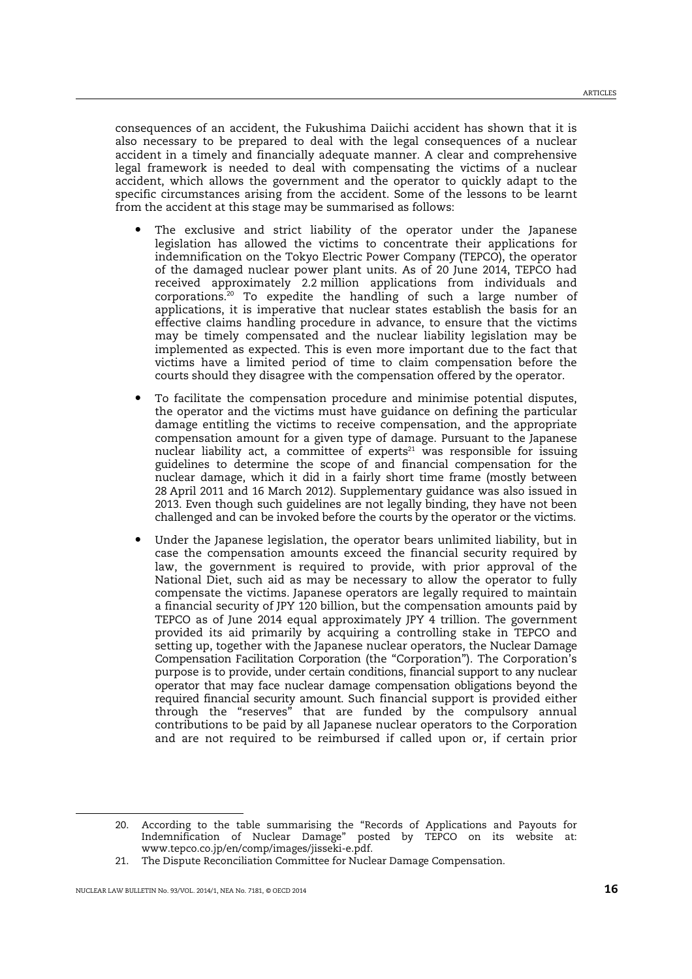consequences of an accident, the Fukushima Daiichi accident has shown that it is also necessary to be prepared to deal with the legal consequences of a nuclear accident in a timely and financially adequate manner. A clear and comprehensive legal framework is needed to deal with compensating the victims of a nuclear accident, which allows the government and the operator to quickly adapt to the specific circumstances arising from the accident. Some of the lessons to be learnt from the accident at this stage may be summarised as follows:

- The exclusive and strict liability of the operator under the Japanese legislation has allowed the victims to concentrate their applications for indemnification on the Tokyo Electric Power Company (TEPCO), the operator of the damaged nuclear power plant units. As of 20 June 2014, TEPCO had received approximately 2.2 million applications from individuals and corporations.<sup>20</sup> To expedite the handling of such a large number of applications, it is imperative that nuclear states establish the basis for an effective claims handling procedure in advance, to ensure that the victims may be timely compensated and the nuclear liability legislation may be implemented as expected. This is even more important due to the fact that victims have a limited period of time to claim compensation before the courts should they disagree with the compensation offered by the operator.
- To facilitate the compensation procedure and minimise potential disputes, the operator and the victims must have guidance on defining the particular damage entitling the victims to receive compensation, and the appropriate compensation amount for a given type of damage. Pursuant to the Japanese nuclear liability act, a committee of  $experts<sup>21</sup>$  was responsible for issuing guidelines to determine the scope of and financial compensation for the nuclear damage, which it did in a fairly short time frame (mostly between 28 April 2011 and 16 March 2012). Supplementary guidance was also issued in 2013. Even though such guidelines are not legally binding, they have not been challenged and can be invoked before the courts by the operator or the victims.
- Under the Japanese legislation, the operator bears unlimited liability, but in case the compensation amounts exceed the financial security required by law, the government is required to provide, with prior approval of the National Diet, such aid as may be necessary to allow the operator to fully compensate the victims. Japanese operators are legally required to maintain a financial security of JPY 120 billion, but the compensation amounts paid by TEPCO as of June 2014 equal approximately JPY 4 trillion. The government provided its aid primarily by acquiring a controlling stake in TEPCO and setting up, together with the Japanese nuclear operators, the Nuclear Damage Compensation Facilitation Corporation (the "Corporation"). The Corporation's purpose is to provide, under certain conditions, financial support to any nuclear operator that may face nuclear damage compensation obligations beyond the required financial security amount. Such financial support is provided either through the "reserves" that are funded by the compulsory annual contributions to be paid by all Japanese nuclear operators to the Corporation and are not required to be reimbursed if called upon or, if certain prior

<sup>20.</sup> According to the table summarising the "Records of Applications and Payouts for Indemnification of Nuclear Damage" posted by TEPCO on its website at: www.tepco.co.jp/en/comp/images/jisseki-e.pdf.

<sup>21.</sup> The Dispute Reconciliation Committee for Nuclear Damage Compensation.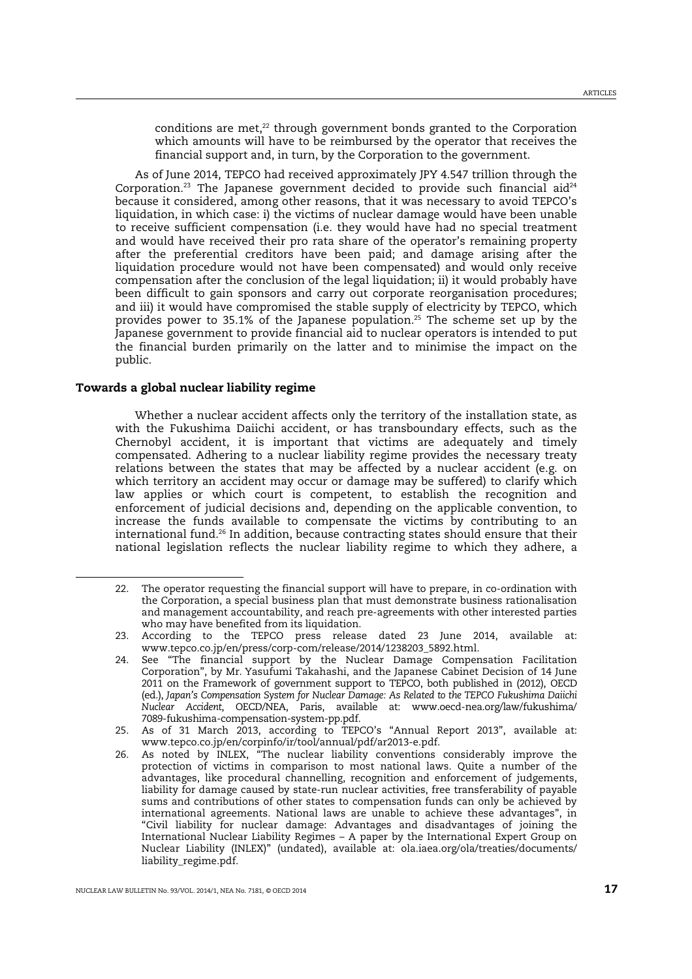conditions are met, $^{22}$  through government bonds granted to the Corporation which amounts will have to be reimbursed by the operator that receives the financial support and, in turn, by the Corporation to the government.

As of June 2014, TEPCO had received approximately JPY 4.547 trillion through the Corporation.<sup>23</sup> The Japanese government decided to provide such financial aid<sup>24</sup> because it considered, among other reasons, that it was necessary to avoid TEPCO's liquidation, in which case: i) the victims of nuclear damage would have been unable to receive sufficient compensation (i.e. they would have had no special treatment and would have received their pro rata share of the operator's remaining property after the preferential creditors have been paid; and damage arising after the liquidation procedure would not have been compensated) and would only receive compensation after the conclusion of the legal liquidation; ii) it would probably have been difficult to gain sponsors and carry out corporate reorganisation procedures; and iii) it would have compromised the stable supply of electricity by TEPCO, which provides power to 35.1% of the Japanese population.<sup>25</sup> The scheme set up by the Japanese government to provide financial aid to nuclear operators is intended to put the financial burden primarily on the latter and to minimise the impact on the public.

## Towards a global nuclear liability regime

 $\overline{a}$ 

Whether a nuclear accident affects only the territory of the installation state, as with the Fukushima Daiichi accident, or has transboundary effects, such as the Chernobyl accident, it is important that victims are adequately and timely compensated. Adhering to a nuclear liability regime provides the necessary treaty relations between the states that may be affected by a nuclear accident (e.g. on which territory an accident may occur or damage may be suffered) to clarify which law applies or which court is competent, to establish the recognition and enforcement of judicial decisions and, depending on the applicable convention, to increase the funds available to compensate the victims by contributing to an international fund.<sup>26</sup> In addition, because contracting states should ensure that their national legislation reflects the nuclear liability regime to which they adhere, a

<sup>22.</sup> The operator requesting the financial support will have to prepare, in co-ordination with the Corporation, a special business plan that must demonstrate business rationalisation and management accountability, and reach pre-agreements with other interested parties who may have benefited from its liquidation.

<sup>23.</sup> According to the TEPCO press release dated 23 June 2014, available at: www.tepco.co.jp/en/press/corp-com/release/2014/1238203\_5892.html.

<sup>24.</sup> See "The financial support by the Nuclear Damage Compensation Facilitation Corporation", by Mr. Yasufumi Takahashi, and the Japanese Cabinet Decision of 14 June 2011 on the Framework of government support to TEPCO, both published in (2012), OECD (ed.), *Japan's Compensation System for Nuclear Damage: As Related to the TEPCO Fukushima Daiichi Nuclear Accident*, OECD/NEA, Paris, available at: www.oecd-nea.org/law/fukushima/ 7089-fukushima-compensation-system-pp.pdf.

<sup>25.</sup> As of 31 March 2013, according to TEPCO's "Annual Report 2013", available at: www.tepco.co.jp/en/corpinfo/ir/tool/annual/pdf/ar2013-e.pdf.

<sup>26.</sup> As noted by INLEX, "The nuclear liability conventions considerably improve the protection of victims in comparison to most national laws. Quite a number of the advantages, like procedural channelling, recognition and enforcement of judgements, liability for damage caused by state-run nuclear activities, free transferability of payable sums and contributions of other states to compensation funds can only be achieved by international agreements. National laws are unable to achieve these advantages", in "Civil liability for nuclear damage: Advantages and disadvantages of joining the International Nuclear Liability Regimes – A paper by the International Expert Group on Nuclear Liability (INLEX)" (undated), available at: ola.iaea.org/ola/treaties/documents/ liability\_regime.pdf.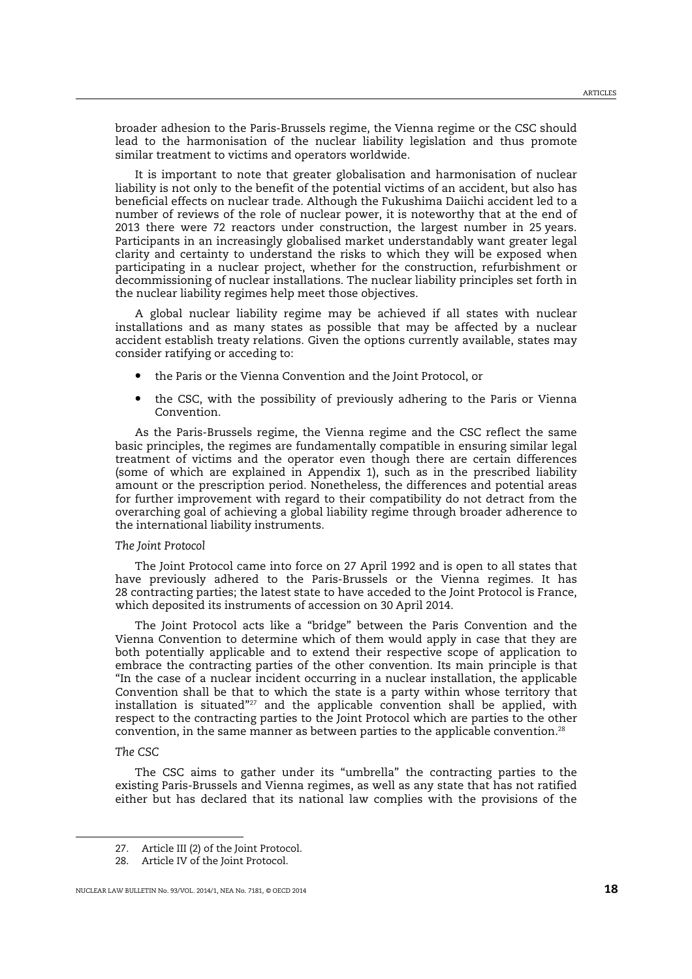broader adhesion to the Paris-Brussels regime, the Vienna regime or the CSC should lead to the harmonisation of the nuclear liability legislation and thus promote similar treatment to victims and operators worldwide.

It is important to note that greater globalisation and harmonisation of nuclear liability is not only to the benefit of the potential victims of an accident, but also has beneficial effects on nuclear trade. Although the Fukushima Daiichi accident led to a number of reviews of the role of nuclear power, it is noteworthy that at the end of 2013 there were 72 reactors under construction, the largest number in 25 years. Participants in an increasingly globalised market understandably want greater legal clarity and certainty to understand the risks to which they will be exposed when participating in a nuclear project, whether for the construction, refurbishment or decommissioning of nuclear installations. The nuclear liability principles set forth in the nuclear liability regimes help meet those objectives.

A global nuclear liability regime may be achieved if all states with nuclear installations and as many states as possible that may be affected by a nuclear accident establish treaty relations. Given the options currently available, states may consider ratifying or acceding to:

- the Paris or the Vienna Convention and the Joint Protocol, or
- the CSC, with the possibility of previously adhering to the Paris or Vienna Convention.

As the Paris-Brussels regime, the Vienna regime and the CSC reflect the same basic principles, the regimes are fundamentally compatible in ensuring similar legal treatment of victims and the operator even though there are certain differences (some of which are explained in Appendix 1), such as in the prescribed liability amount or the prescription period. Nonetheless, the differences and potential areas for further improvement with regard to their compatibility do not detract from the overarching goal of achieving a global liability regime through broader adherence to the international liability instruments.

### *The Joint Protocol*

The Joint Protocol came into force on 27 April 1992 and is open to all states that have previously adhered to the Paris-Brussels or the Vienna regimes. It has 28 contracting parties; the latest state to have acceded to the Joint Protocol is France, which deposited its instruments of accession on 30 April 2014.

The Joint Protocol acts like a "bridge" between the Paris Convention and the Vienna Convention to determine which of them would apply in case that they are both potentially applicable and to extend their respective scope of application to embrace the contracting parties of the other convention. Its main principle is that "In the case of a nuclear incident occurring in a nuclear installation, the applicable Convention shall be that to which the state is a party within whose territory that installation is situated"<sup>27</sup> and the applicable convention shall be applied, with respect to the contracting parties to the Joint Protocol which are parties to the other convention, in the same manner as between parties to the applicable convention.<sup>28</sup>

#### *The CSC*

 $\overline{a}$ 

The CSC aims to gather under its "umbrella" the contracting parties to the existing Paris-Brussels and Vienna regimes, as well as any state that has not ratified either but has declared that its national law complies with the provisions of the

<sup>27.</sup> Article III (2) of the Joint Protocol.

<sup>28.</sup> Article IV of the Joint Protocol.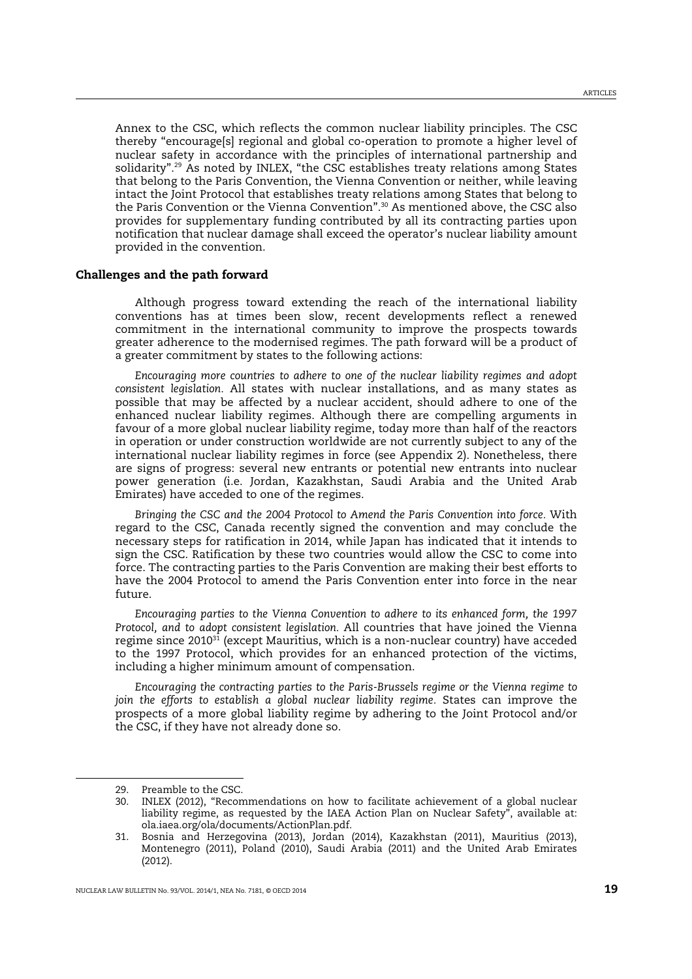Annex to the CSC, which reflects the common nuclear liability principles. The CSC thereby "encourage[s] regional and global co-operation to promote a higher level of nuclear safety in accordance with the principles of international partnership and solidarity".<sup>29</sup> As noted by INLEX, "the CSC establishes treaty relations among States that belong to the Paris Convention, the Vienna Convention or neither, while leaving intact the Joint Protocol that establishes treaty relations among States that belong to the Paris Convention or the Vienna Convention".<sup>30</sup> As mentioned above, the CSC also provides for supplementary funding contributed by all its contracting parties upon notification that nuclear damage shall exceed the operator's nuclear liability amount provided in the convention.

#### Challenges and the path forward

Although progress toward extending the reach of the international liability conventions has at times been slow, recent developments reflect a renewed commitment in the international community to improve the prospects towards greater adherence to the modernised regimes. The path forward will be a product of a greater commitment by states to the following actions:

*Encouraging more countries to adhere to one of the nuclear liability regimes and adopt consistent legislation.* All states with nuclear installations, and as many states as possible that may be affected by a nuclear accident, should adhere to one of the enhanced nuclear liability regimes. Although there are compelling arguments in favour of a more global nuclear liability regime, today more than half of the reactors in operation or under construction worldwide are not currently subject to any of the international nuclear liability regimes in force (see Appendix 2). Nonetheless, there are signs of progress: several new entrants or potential new entrants into nuclear power generation (i.e. Jordan, Kazakhstan, Saudi Arabia and the United Arab Emirates) have acceded to one of the regimes.

*Bringing the CSC and the 2004 Protocol to Amend the Paris Convention into force.* With regard to the CSC, Canada recently signed the convention and may conclude the necessary steps for ratification in 2014, while Japan has indicated that it intends to sign the CSC. Ratification by these two countries would allow the CSC to come into force. The contracting parties to the Paris Convention are making their best efforts to have the 2004 Protocol to amend the Paris Convention enter into force in the near future.

*Encouraging parties to the Vienna Convention to adhere to its enhanced form, the 1997 Protocol, and to adopt consistent legislation.* All countries that have joined the Vienna regime since  $2010^{31}$  (except Mauritius, which is a non-nuclear country) have acceded to the 1997 Protocol, which provides for an enhanced protection of the victims, including a higher minimum amount of compensation.

*Encouraging the contracting parties to the Paris-Brussels regime or the Vienna regime to join the efforts to establish a global nuclear liability regime.* States can improve the prospects of a more global liability regime by adhering to the Joint Protocol and/or the CSC, if they have not already done so.

<sup>29.</sup> Preamble to the CSC.

<sup>30.</sup> INLEX (2012), "Recommendations on how to facilitate achievement of a global nuclear liability regime, as requested by the IAEA Action Plan on Nuclear Safety", available at: ola.iaea.org/ola/documents/ActionPlan.pdf.

<sup>31.</sup> Bosnia and Herzegovina (2013), Jordan (2014), Kazakhstan (2011), Mauritius (2013), Montenegro (2011), Poland (2010), Saudi Arabia (2011) and the United Arab Emirates (2012).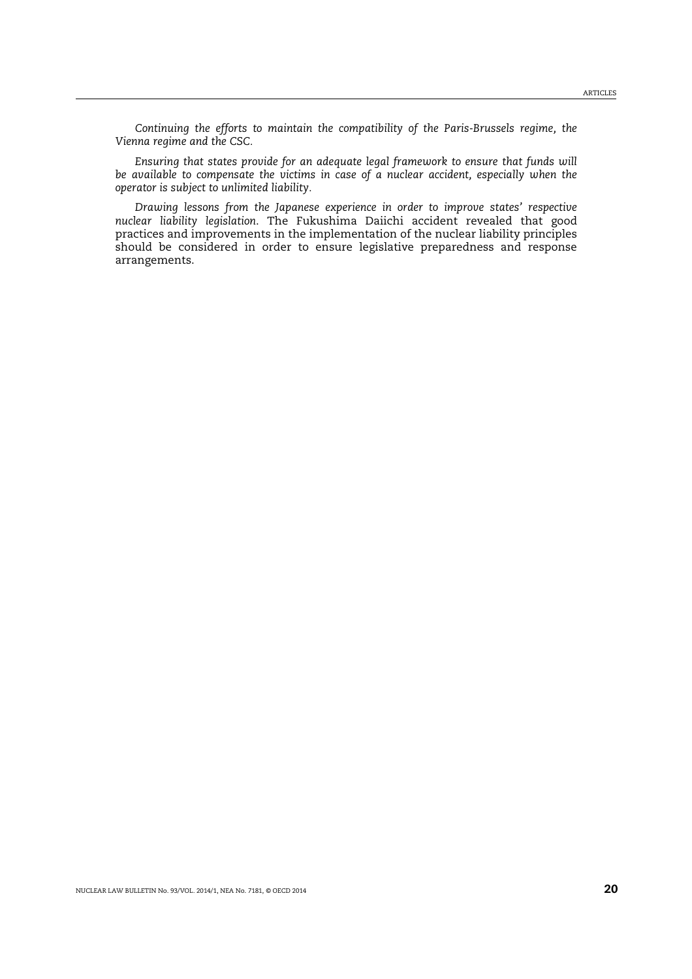*Continuing the efforts to maintain the compatibility of the Paris-Brussels regime, the Vienna regime and the CSC.* 

*Ensuring that states provide for an adequate legal framework to ensure that funds will be available to compensate the victims in case of a nuclear accident, especially when the operator is subject to unlimited liability.* 

*Drawing lessons from the Japanese experience in order to improve states' respective nuclear liability legislation*. The Fukushima Daiichi accident revealed that good practices and improvements in the implementation of the nuclear liability principles should be considered in order to ensure legislative preparedness and response arrangements.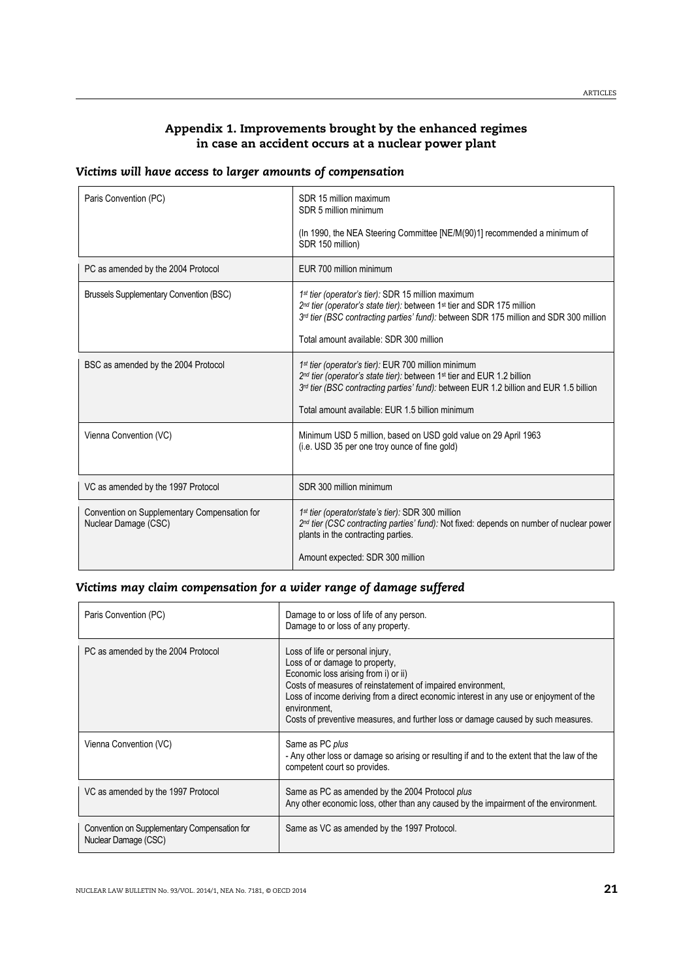# Appendix 1. Improvements brought by the enhanced regimes in case an accident occurs at a nuclear power plant

## *Victims will have access to larger amounts of compensation*

| Paris Convention (PC)                                                | SDR 15 million maximum<br>SDR 5 million minimum                                                                                                                                                                                                                                       |
|----------------------------------------------------------------------|---------------------------------------------------------------------------------------------------------------------------------------------------------------------------------------------------------------------------------------------------------------------------------------|
|                                                                      | (In 1990, the NEA Steering Committee [NE/M(90)1] recommended a minimum of<br>SDR 150 million)                                                                                                                                                                                         |
| PC as amended by the 2004 Protocol                                   | EUR 700 million minimum                                                                                                                                                                                                                                                               |
| <b>Brussels Supplementary Convention (BSC)</b>                       | 1st tier (operator's tier): SDR 15 million maximum<br>2nd tier (operator's state tier): between 1 <sup>st</sup> tier and SDR 175 million<br>3rd tier (BSC contracting parties' fund): between SDR 175 million and SDR 300 million<br>Total amount available: SDR 300 million          |
| BSC as amended by the 2004 Protocol                                  | 1 <sup>st</sup> tier (operator's tier): EUR 700 million minimum<br>2nd tier (operator's state tier): between 1st tier and EUR 1.2 billion<br>3rd tier (BSC contracting parties' fund): between EUR 1.2 billion and EUR 1.5 billion<br>Total amount available: EUR 1.5 billion minimum |
| Vienna Convention (VC)                                               | Minimum USD 5 million, based on USD gold value on 29 April 1963<br>(i.e. USD 35 per one troy ounce of fine gold)                                                                                                                                                                      |
| VC as amended by the 1997 Protocol                                   | SDR 300 million minimum                                                                                                                                                                                                                                                               |
| Convention on Supplementary Compensation for<br>Nuclear Damage (CSC) | 1 <sup>st</sup> tier (operator/state's tier): SDR 300 million<br>2nd tier (CSC contracting parties' fund): Not fixed: depends on number of nuclear power<br>plants in the contracting parties.                                                                                        |
|                                                                      | Amount expected: SDR 300 million                                                                                                                                                                                                                                                      |

## *Victims may claim compensation for a wider range of damage suffered*

| Paris Convention (PC)                                                | Damage to or loss of life of any person.<br>Damage to or loss of any property.                                                                                                                                                                                                                                                                                           |
|----------------------------------------------------------------------|--------------------------------------------------------------------------------------------------------------------------------------------------------------------------------------------------------------------------------------------------------------------------------------------------------------------------------------------------------------------------|
| PC as amended by the 2004 Protocol                                   | Loss of life or personal injury,<br>Loss of or damage to property,<br>Economic loss arising from i) or ii)<br>Costs of measures of reinstatement of impaired environment,<br>Loss of income deriving from a direct economic interest in any use or enjoyment of the<br>environment.<br>Costs of preventive measures, and further loss or damage caused by such measures. |
| Vienna Convention (VC)                                               | Same as PC plus<br>- Any other loss or damage so arising or resulting if and to the extent that the law of the<br>competent court so provides.                                                                                                                                                                                                                           |
| VC as amended by the 1997 Protocol                                   | Same as PC as amended by the 2004 Protocol plus<br>Any other economic loss, other than any caused by the impairment of the environment.                                                                                                                                                                                                                                  |
| Convention on Supplementary Compensation for<br>Nuclear Damage (CSC) | Same as VC as amended by the 1997 Protocol.                                                                                                                                                                                                                                                                                                                              |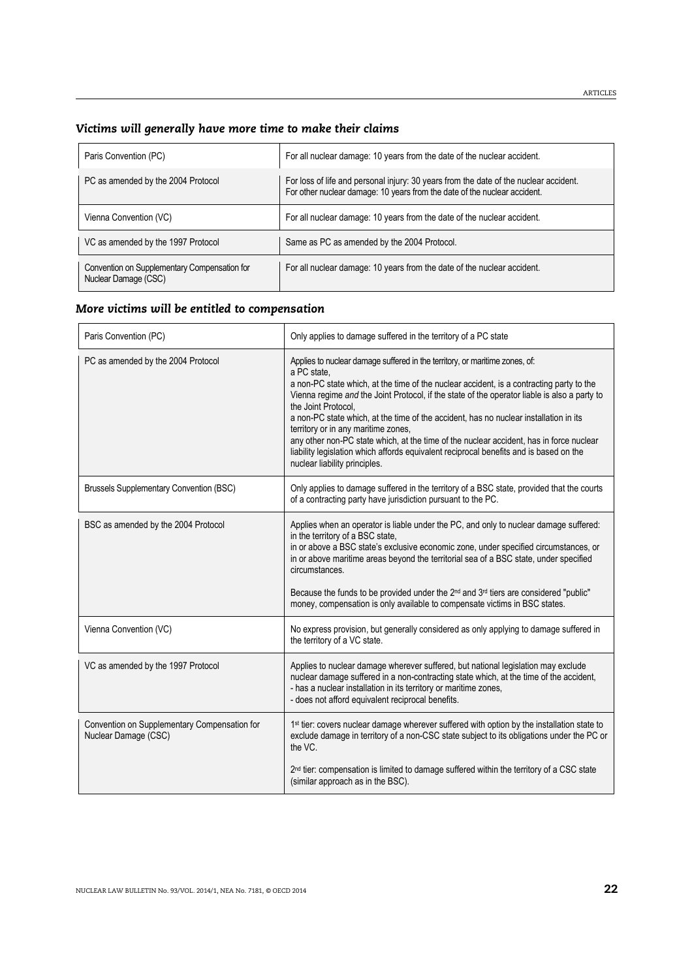| Paris Convention (PC)                                                | For all nuclear damage: 10 years from the date of the nuclear accident.                                                                                            |
|----------------------------------------------------------------------|--------------------------------------------------------------------------------------------------------------------------------------------------------------------|
| PC as amended by the 2004 Protocol                                   | For loss of life and personal injury: 30 years from the date of the nuclear accident.<br>For other nuclear damage: 10 years from the date of the nuclear accident. |
| Vienna Convention (VC)                                               | For all nuclear damage: 10 years from the date of the nuclear accident.                                                                                            |
| VC as amended by the 1997 Protocol                                   | Same as PC as amended by the 2004 Protocol.                                                                                                                        |
| Convention on Supplementary Compensation for<br>Nuclear Damage (CSC) | For all nuclear damage: 10 years from the date of the nuclear accident.                                                                                            |

# *More victims will be entitled to compensation*

| Paris Convention (PC)                                                | Only applies to damage suffered in the territory of a PC state                                                                                                                                                                                                                                                                                                                                                                                                                                                                                                                                                                                                      |  |  |  |
|----------------------------------------------------------------------|---------------------------------------------------------------------------------------------------------------------------------------------------------------------------------------------------------------------------------------------------------------------------------------------------------------------------------------------------------------------------------------------------------------------------------------------------------------------------------------------------------------------------------------------------------------------------------------------------------------------------------------------------------------------|--|--|--|
| PC as amended by the 2004 Protocol                                   | Applies to nuclear damage suffered in the territory, or maritime zones, of:<br>a PC state.<br>a non-PC state which, at the time of the nuclear accident, is a contracting party to the<br>Vienna regime and the Joint Protocol, if the state of the operator liable is also a party to<br>the Joint Protocol.<br>a non-PC state which, at the time of the accident, has no nuclear installation in its<br>territory or in any maritime zones,<br>any other non-PC state which, at the time of the nuclear accident, has in force nuclear<br>liability legislation which affords equivalent reciprocal benefits and is based on the<br>nuclear liability principles. |  |  |  |
| <b>Brussels Supplementary Convention (BSC)</b>                       | Only applies to damage suffered in the territory of a BSC state, provided that the courts<br>of a contracting party have jurisdiction pursuant to the PC.                                                                                                                                                                                                                                                                                                                                                                                                                                                                                                           |  |  |  |
| BSC as amended by the 2004 Protocol                                  | Applies when an operator is liable under the PC, and only to nuclear damage suffered:<br>in the territory of a BSC state,<br>in or above a BSC state's exclusive economic zone, under specified circumstances, or<br>in or above maritime areas beyond the territorial sea of a BSC state, under specified<br>circumstances.<br>Because the funds to be provided under the 2 <sup>nd</sup> and 3 <sup>rd</sup> tiers are considered "public"<br>money, compensation is only available to compensate victims in BSC states.                                                                                                                                          |  |  |  |
| Vienna Convention (VC)                                               | No express provision, but generally considered as only applying to damage suffered in<br>the territory of a VC state.                                                                                                                                                                                                                                                                                                                                                                                                                                                                                                                                               |  |  |  |
| VC as amended by the 1997 Protocol                                   | Applies to nuclear damage wherever suffered, but national legislation may exclude<br>nuclear damage suffered in a non-contracting state which, at the time of the accident,<br>- has a nuclear installation in its territory or maritime zones,<br>- does not afford equivalent reciprocal benefits.                                                                                                                                                                                                                                                                                                                                                                |  |  |  |
| Convention on Supplementary Compensation for<br>Nuclear Damage (CSC) | 1st tier: covers nuclear damage wherever suffered with option by the installation state to<br>exclude damage in territory of a non-CSC state subject to its obligations under the PC or<br>the VC.                                                                                                                                                                                                                                                                                                                                                                                                                                                                  |  |  |  |
|                                                                      | 2 <sup>nd</sup> tier: compensation is limited to damage suffered within the territory of a CSC state<br>(similar approach as in the BSC).                                                                                                                                                                                                                                                                                                                                                                                                                                                                                                                           |  |  |  |